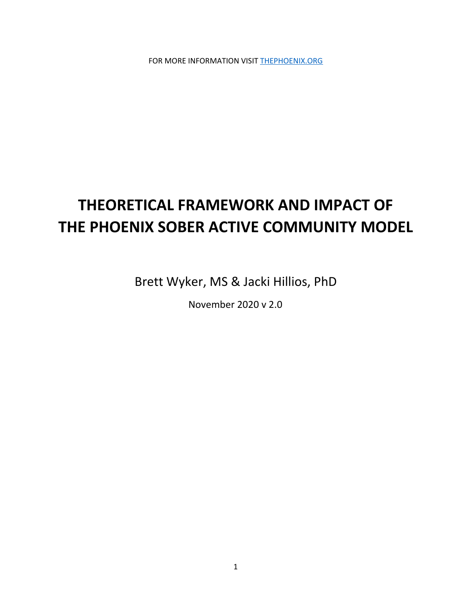FOR MORE INFORMATION VISIT [THEPHOENIX.ORG](http://thephoenix.org/)

# **THEORETICAL FRAMEWORK AND IMPACT OF THE PHOENIX SOBER ACTIVE COMMUNITY MODEL**

Brett Wyker, MS & Jacki Hillios, PhD

November 2020 v 2.0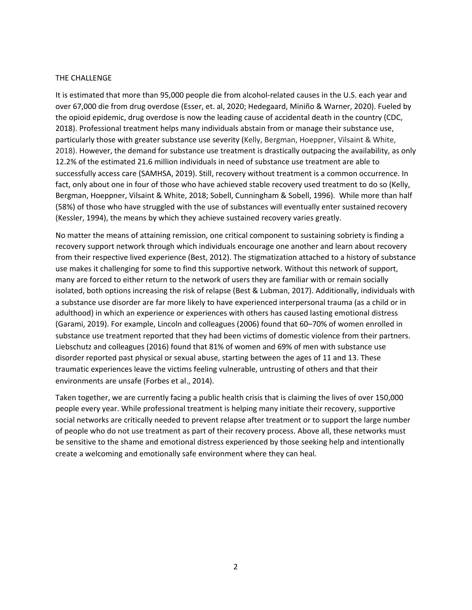#### THE CHALLENGE

It is estimated that more than 95,000 people die from alcohol-related causes in the U.S. each year and over 67,000 die from drug overdose (Esser, et. al, 2020; Hedegaard, Miniño & Warner, 2020). Fueled by the opioid epidemic, drug overdose is now the leading cause of accidental death in the country (CDC, 2018). Professional treatment helps many individuals abstain from or manage their substance use, particularly those with greater substance use severity (Kelly, Bergman, Hoeppner, Vilsaint & White, 2018). However, the demand for substance use treatment is drastically outpacing the availability, as only 12.2% of the estimated 21.6 million individuals in need of substance use treatment are able to successfully access care (SAMHSA, 2019). Still, recovery without treatment is a common occurrence. In fact, only about one in four of those who have achieved stable recovery used treatment to do so (Kelly, Bergman, Hoeppner, Vilsaint & White, 2018; Sobell, Cunningham & Sobell, 1996). While more than half (58%) of those who have struggled with the use of substances will eventually enter sustained recovery (Kessler, 1994), the means by which they achieve sustained recovery varies greatly.

No matter the means of attaining remission, one critical component to sustaining sobriety is finding a recovery support network through which individuals encourage one another and learn about recovery from their respective lived experience (Best, 2012). The stigmatization attached to a history of substance use makes it challenging for some to find this supportive network. Without this network of support, many are forced to either return to the network of users they are familiar with or remain socially isolated, both options increasing the risk of relapse (Best & Lubman, 2017). Additionally, individuals with a substance use disorder are far more likely to have experienced interpersonal trauma (as a child or in adulthood) in which an experience or experiences with others has caused lasting emotional distress (Garami, 2019). For example, Lincoln and colleagues (2006) found that 60–70% of women enrolled in substance use treatment reported that they had been victims of domestic violence from their partners. Liebschutz and colleagues (2016) found that 81% of women and 69% of men with substance use disorder reported past physical or sexual abuse, starting between the ages of 11 and 13. These traumatic experiences leave the victims feeling vulnerable, untrusting of others and that their environments are unsafe (Forbes et al., 2014).

Taken together, we are currently facing a public health crisis that is claiming the lives of over 150,000 people every year. While professional treatment is helping many initiate their recovery, supportive social networks are critically needed to prevent relapse after treatment or to support the large number of people who do not use treatment as part of their recovery process. Above all, these networks must be sensitive to the shame and emotional distress experienced by those seeking help and intentionally create a welcoming and emotionally safe environment where they can heal.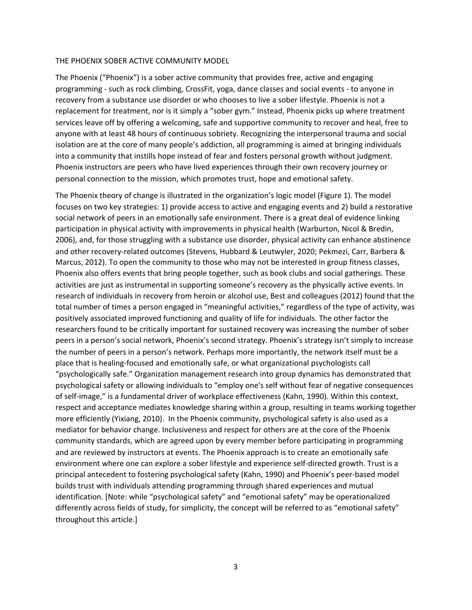#### THE PHOENIX SOBER ACTIVE COMMUNITY MODEL

The Phoenix ("Phoenix") is a sober active community that provides free, active and engaging programming - such as rock climbing, CrossFit, yoga, dance classes and social events - to anyone in recovery from a substance use disorder or who chooses to live a sober lifestyle. Phoenix is not a replacement for treatment, nor is it simply a "sober gym." Instead, Phoenix picks up where treatment services leave off by offering a welcoming, safe and supportive community to recover and heal, free to anyone with at least 48 hours of continuous sobriety. Recognizing the interpersonal trauma and social isolation are at the core of many people's addiction, all programming is aimed at bringing individuals into a community that instills hope instead of fear and fosters personal growth without judgment. Phoenix instructors are peers who have lived experiences through their own recovery journey or personal connection to the mission, which promotes trust, hope and emotional safety.

The Phoenix theory of change is illustrated in the organization's logic model (Figure 1). The model focuses on two key strategies: 1) provide access to active and engaging events and 2) build a restorative social network of peers in an emotionally safe environment. There is a great deal of evidence linking participation in physical activity with improvements in physical health (Warburton, Nicol & Bredin, 2006), and, for those struggling with a substance use disorder, physical activity can enhance abstinence and other recovery-related outcomes (Stevens, Hubbard & Leutwyler, 2020; Pekmezi, Carr, Barbera & Marcus, 2012). To open the community to those who may not be interested in group fitness classes, Phoenix also offers events that bring people together, such as book clubs and social gatherings. These activities are just as instrumental in supporting someone's recovery as the physically active events. In research of individuals in recovery from heroin or alcohol use, Best and colleagues (2012) found that the total number of times a person engaged in "meaningful activities," regardless of the type of activity, was positively associated improved functioning and quality of life for individuals. The other factor the researchers found to be critically important for sustained recovery was increasing the number of sober peers in a person's social network, Phoenix's second strategy. Phoenix's strategy isn't simply to increase the number of peers in a person's network. Perhaps more importantly, the network itself must be a place that is healing-focused and emotionally safe, or what organizational psychologists call "psychologically safe." Organization management research into group dynamics has demonstrated that psychological safety or allowing individuals to "employ one's self without fear of negative consequences of self-image," is a fundamental driver of workplace effectiveness (Kahn, 1990). Within this context, respect and acceptance mediates knowledge sharing within a group, resulting in teams working together more efficiently (Yixiang, 2010). In the Phoenix community, psychological safety is also used as a mediator for behavior change. Inclusiveness and respect for others are at the core of the Phoenix community standards, which are agreed upon by every member before participating in programming and are reviewed by instructors at events. The Phoenix approach is to create an emotionally safe environment where one can explore a sober lifestyle and experience self-directed growth. Trust is a principal antecedent to fostering psychological safety (Kahn, 1990) and Phoenix's peer-based model builds trust with individuals attending programming through shared experiences and mutual identification. [Note: while "psychological safety" and "emotional safety" may be operationalized differently across fields of study, for simplicity, the concept will be referred to as "emotional safety" throughout this article.]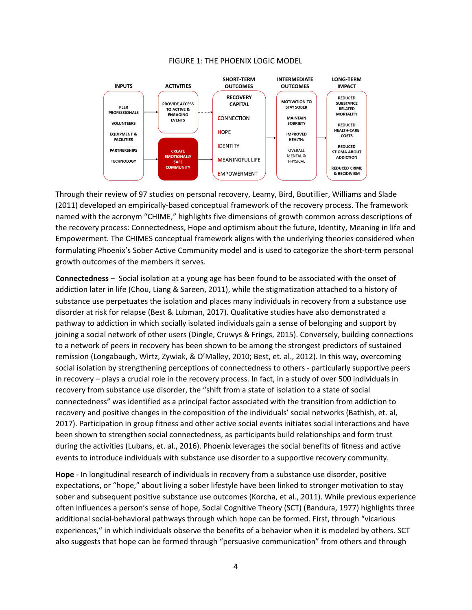



Through their review of 97 studies on personal recovery, Leamy, Bird, Boutillier, Williams and Slade (2011) developed an empirically-based conceptual framework of the recovery process. The framework named with the acronym "CHIME," highlights five dimensions of growth common across descriptions of the recovery process: Connectedness, Hope and optimism about the future, Identity, Meaning in life and Empowerment. The CHIMES conceptual framework aligns with the underlying theories considered when formulating Phoenix's Sober Active Community model and is used to categorize the short-term personal growth outcomes of the members it serves.

**Connectedness** – Social isolation at a young age has been found to be associated with the onset of addiction later in life (Chou, Liang & Sareen, 2011), while the stigmatization attached to a history of substance use perpetuates the isolation and places many individuals in recovery from a substance use disorder at risk for relapse (Best & Lubman, 2017). Qualitative studies have also demonstrated a pathway to addiction in which socially isolated individuals gain a sense of belonging and support by joining a social network of other users (Dingle, Cruwys & Frings, 2015). Conversely, building connections to a network of peers in recovery has been shown to be among the strongest predictors of sustained remission (Longabaugh, Wirtz, Zywiak, & O'Malley, 2010; Best, et. al., 2012). In this way, overcoming social isolation by strengthening perceptions of connectedness to others - particularly supportive peers in recovery – plays a crucial role in the recovery process. In fact, in a study of over 500 individuals in recovery from substance use disorder, the "shift from a state of isolation to a state of social connectedness" was identified as a principal factor associated with the transition from addiction to recovery and positive changes in the composition of the individuals' social networks (Bathish, et. al, 2017). Participation in group fitness and other active social events initiates social interactions and have been shown to strengthen social connectedness, as participants build relationships and form trust during the activities (Lubans, et. al., 2016). Phoenix leverages the social benefits of fitness and active events to introduce individuals with substance use disorder to a supportive recovery community.

**Hope** - In longitudinal research of individuals in recovery from a substance use disorder, positive expectations, or "hope," about living a sober lifestyle have been linked to stronger motivation to stay sober and subsequent positive substance use outcomes (Korcha, et al., 2011). While previous experience often influences a person's sense of hope, Social Cognitive Theory (SCT) (Bandura, 1977) highlights three additional social-behavioral pathways through which hope can be formed. First, through "vicarious experiences," in which individuals observe the benefits of a behavior when it is modeled by others. SCT also suggests that hope can be formed through "persuasive communication" from others and through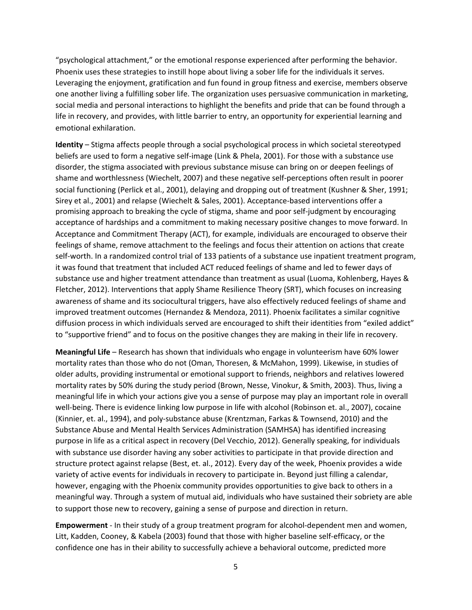"psychological attachment," or the emotional response experienced after performing the behavior. Phoenix uses these strategies to instill hope about living a sober life for the individuals it serves. Leveraging the enjoyment, gratification and fun found in group fitness and exercise, members observe one another living a fulfilling sober life. The organization uses persuasive communication in marketing, social media and personal interactions to highlight the benefits and pride that can be found through a life in recovery, and provides, with little barrier to entry, an opportunity for experiential learning and emotional exhilaration.

**Identity** – Stigma affects people through a social psychological process in which societal stereotyped beliefs are used to form a negative self-image (Link & Phela, 2001). For those with a substance use disorder, the stigma associated with previous substance misuse can bring on or deepen feelings of shame and worthlessness (Wiechelt, 2007) and these negative self-perceptions often result in poorer social functioning (Perlick et al., 2001), delaying and dropping out of treatment (Kushner & Sher, 1991; Sirey et al., 2001) and relapse (Wiechelt & Sales, 2001). Acceptance-based interventions offer a promising approach to breaking the cycle of stigma, shame and poor self-judgment by encouraging acceptance of hardships and a commitment to making necessary positive changes to move forward. In Acceptance and Commitment Therapy (ACT), for example, individuals are encouraged to observe their feelings of shame, remove attachment to the feelings and focus their attention on actions that create self-worth. In a randomized control trial of 133 patients of a substance use inpatient treatment program, it was found that treatment that included ACT reduced feelings of shame and led to fewer days of substance use and higher treatment attendance than treatment as usual (Luoma, Kohlenberg, Hayes & Fletcher, 2012). Interventions that apply Shame Resilience Theory (SRT), which focuses on increasing awareness of shame and its sociocultural triggers, have also effectively reduced feelings of shame and improved treatment outcomes (Hernandez & Mendoza, 2011). Phoenix facilitates a similar cognitive diffusion process in which individuals served are encouraged to shift their identities from "exiled addict" to "supportive friend" and to focus on the positive changes they are making in their life in recovery.

**Meaningful Life** – Research has shown that individuals who engage in volunteerism have 60% lower mortality rates than those who do not (Oman, Thoresen, & McMahon, 1999). Likewise, in studies of older adults, providing instrumental or emotional support to friends, neighbors and relatives lowered mortality rates by 50% during the study period (Brown, Nesse, Vinokur, & Smith, 2003). Thus, living a meaningful life in which your actions give you a sense of purpose may play an important role in overall well-being. There is evidence linking low purpose in life with alcohol (Robinson et. al., 2007), cocaine (Kinnier, et. al., 1994), and poly-substance abuse (Krentzman, Farkas & Townsend, 2010) and the Substance Abuse and Mental Health Services Administration (SAMHSA) has identified increasing purpose in life as a critical aspect in recovery (Del Vecchio, 2012). Generally speaking, for individuals with substance use disorder having any sober activities to participate in that provide direction and structure protect against relapse (Best, et. al., 2012). Every day of the week, Phoenix provides a wide variety of active events for individuals in recovery to participate in. Beyond just filling a calendar, however, engaging with the Phoenix community provides opportunities to give back to others in a meaningful way. Through a system of mutual aid, individuals who have sustained their sobriety are able to support those new to recovery, gaining a sense of purpose and direction in return.

**Empowerment** - In their study of a group treatment program for alcohol-dependent men and women, Litt, Kadden, Cooney, & Kabela (2003) found that those with higher baseline self-efficacy, or the confidence one has in their ability to successfully achieve a behavioral outcome, predicted more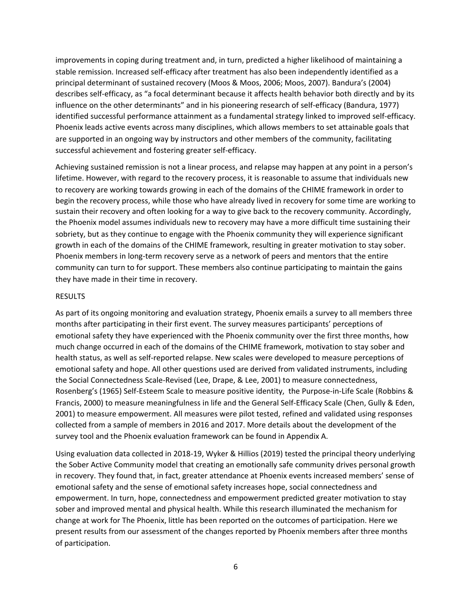improvements in coping during treatment and, in turn, predicted a higher likelihood of maintaining a stable remission. Increased self-efficacy after treatment has also been independently identified as a principal determinant of sustained recovery (Moos & Moos, 2006; Moos, 2007). Bandura's (2004) describes self-efficacy, as "a focal determinant because it affects health behavior both directly and by its influence on the other determinants" and in his pioneering research of self-efficacy (Bandura, 1977) identified successful performance attainment as a fundamental strategy linked to improved self-efficacy. Phoenix leads active events across many disciplines, which allows members to set attainable goals that are supported in an ongoing way by instructors and other members of the community, facilitating successful achievement and fostering greater self-efficacy.

Achieving sustained remission is not a linear process, and relapse may happen at any point in a person's lifetime. However, with regard to the recovery process, it is reasonable to assume that individuals new to recovery are working towards growing in each of the domains of the CHIME framework in order to begin the recovery process, while those who have already lived in recovery for some time are working to sustain their recovery and often looking for a way to give back to the recovery community. Accordingly, the Phoenix model assumes individuals new to recovery may have a more difficult time sustaining their sobriety, but as they continue to engage with the Phoenix community they will experience significant growth in each of the domains of the CHIME framework, resulting in greater motivation to stay sober. Phoenix members in long-term recovery serve as a network of peers and mentors that the entire community can turn to for support. These members also continue participating to maintain the gains they have made in their time in recovery.

## RESULTS

As part of its ongoing monitoring and evaluation strategy, Phoenix emails a survey to all members three months after participating in their first event. The survey measures participants' perceptions of emotional safety they have experienced with the Phoenix community over the first three months, how much change occurred in each of the domains of the CHIME framework, motivation to stay sober and health status, as well as self-reported relapse. New scales were developed to measure perceptions of emotional safety and hope. All other questions used are derived from validated instruments, including the Social Connectedness Scale-Revised (Lee, Drape, & Lee, 2001) to measure connectedness, Rosenberg's (1965) Self-Esteem Scale to measure positive identity, the Purpose-in-Life Scale (Robbins & Francis, 2000) to measure meaningfulness in life and the General Self-Efficacy Scale (Chen, Gully & Eden, 2001) to measure empowerment. All measures were pilot tested, refined and validated using responses collected from a sample of members in 2016 and 2017. More details about the development of the survey tool and the Phoenix evaluation framework can be found in Appendix A.

Using evaluation data collected in 2018-19, Wyker & Hillios (2019) tested the principal theory underlying the Sober Active Community model that creating an emotionally safe community drives personal growth in recovery. They found that, in fact, greater attendance at Phoenix events increased members' sense of emotional safety and the sense of emotional safety increases hope, social connectedness and empowerment. In turn, hope, connectedness and empowerment predicted greater motivation to stay sober and improved mental and physical health. While this research illuminated the mechanism for change at work for The Phoenix, little has been reported on the outcomes of participation. Here we present results from our assessment of the changes reported by Phoenix members after three months of participation.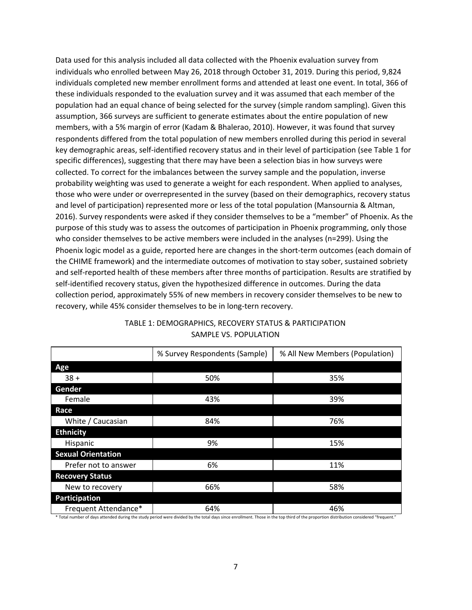Data used for this analysis included all data collected with the Phoenix evaluation survey from individuals who enrolled between May 26, 2018 through October 31, 2019. During this period, 9,824 individuals completed new member enrollment forms and attended at least one event. In total, 366 of these individuals responded to the evaluation survey and it was assumed that each member of the population had an equal chance of being selected for the survey (simple random sampling). Given this assumption, 366 surveys are sufficient to generate estimates about the entire population of new members, with a 5% margin of error (Kadam & Bhalerao, 2010). However, it was found that survey respondents differed from the total population of new members enrolled during this period in several key demographic areas, self-identified recovery status and in their level of participation (see Table 1 for specific differences), suggesting that there may have been a selection bias in how surveys were collected. To correct for the imbalances between the survey sample and the population, inverse probability weighting was used to generate a weight for each respondent. When applied to analyses, those who were under or overrepresented in the survey (based on their demographics, recovery status and level of participation) represented more or less of the total population (Mansournia & Altman, 2016). Survey respondents were asked if they consider themselves to be a "member" of Phoenix. As the purpose of this study was to assess the outcomes of participation in Phoenix programming, only those who consider themselves to be active members were included in the analyses (n=299). Using the Phoenix logic model as a guide, reported here are changes in the short-term outcomes (each domain of the CHIME framework) and the intermediate outcomes of motivation to stay sober, sustained sobriety and self-reported health of these members after three months of participation. Results are stratified by self-identified recovery status, given the hypothesized difference in outcomes. During the data collection period, approximately 55% of new members in recovery consider themselves to be new to recovery, while 45% consider themselves to be in long-tern recovery.

|                           | % Survey Respondents (Sample) | % All New Members (Population) |
|---------------------------|-------------------------------|--------------------------------|
| Age                       |                               |                                |
| $38 +$                    | 50%                           | 35%                            |
| Gender                    |                               |                                |
| Female                    | 43%                           | 39%                            |
| Race                      |                               |                                |
| White / Caucasian         | 84%                           | 76%                            |
| <b>Ethnicity</b>          |                               |                                |
| Hispanic                  | 9%                            | 15%                            |
| <b>Sexual Orientation</b> |                               |                                |
| Prefer not to answer      | 6%                            | 11%                            |
| <b>Recovery Status</b>    |                               |                                |
| New to recovery           | 66%                           | 58%                            |
| <b>Participation</b>      |                               |                                |
| Frequent Attendance*      | 64%                           | 46%                            |

# TABLE 1: DEMOGRAPHICS, RECOVERY STATUS & PARTICIPATION SAMPLE VS. POPULATION

\* Total number of days attended during the study period were divided by the total days since enrollment. Those in the top third of the proportion distribution considered "frequent."

#### 7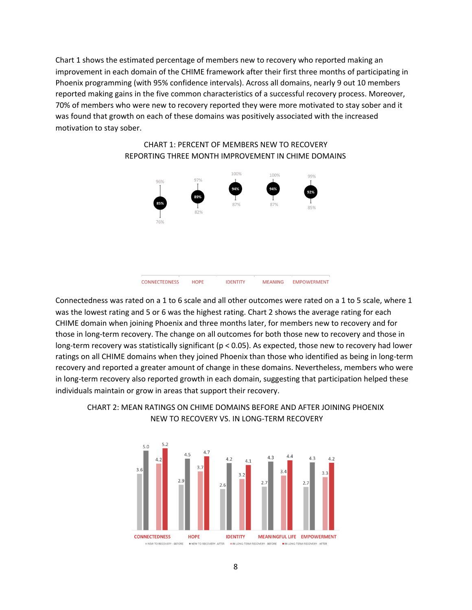Chart 1 shows the estimated percentage of members new to recovery who reported making an improvement in each domain of the CHIME framework after their first three months of participating in Phoenix programming (with 95% confidence intervals). Across all domains, nearly 9 out 10 members reported making gains in the five common characteristics of a successful recovery process. Moreover, 70% of members who were new to recovery reported they were more motivated to stay sober and it was found that growth on each of these domains was positively associated with the increased motivation to stay sober.



# CHART 1: PERCENT OF MEMBERS NEW TO RECOVERY REPORTING THREE MONTH IMPROVEMENT IN CHIME DOMAINS

Connectedness was rated on a 1 to 6 scale and all other outcomes were rated on a 1 to 5 scale, where 1 was the lowest rating and 5 or 6 was the highest rating. Chart 2 shows the average rating for each CHIME domain when joining Phoenix and three months later, for members new to recovery and for those in long-term recovery. The change on all outcomes for both those new to recovery and those in long-term recovery was statistically significant ( $p < 0.05$ ). As expected, those new to recovery had lower ratings on all CHIME domains when they joined Phoenix than those who identified as being in long-term recovery and reported a greater amount of change in these domains. Nevertheless, members who were in long-term recovery also reported growth in each domain, suggesting that participation helped these individuals maintain or grow in areas that support their recovery.



# CHART 2: MEAN RATINGS ON CHIME DOMAINS BEFORE AND AFTER JOINING PHOENIX NEW TO RECOVERY VS. IN LONG-TERM RECOVERY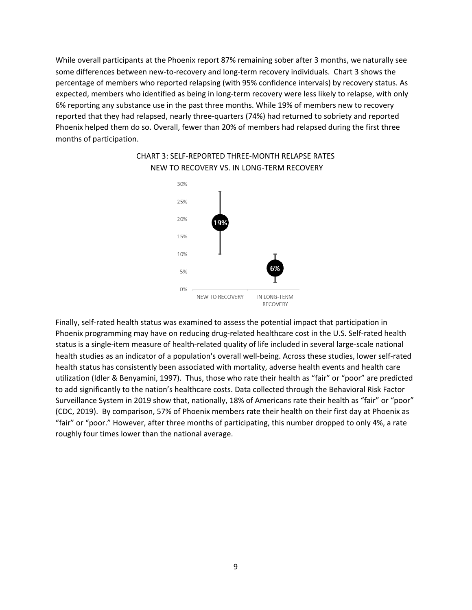While overall participants at the Phoenix report 87% remaining sober after 3 months, we naturally see some differences between new-to-recovery and long-term recovery individuals. Chart 3 shows the percentage of members who reported relapsing (with 95% confidence intervals) by recovery status. As expected, members who identified as being in long-term recovery were less likely to relapse, with only 6% reporting any substance use in the past three months. While 19% of members new to recovery reported that they had relapsed, nearly three-quarters (74%) had returned to sobriety and reported Phoenix helped them do so. Overall, fewer than 20% of members had relapsed during the first three months of participation.



# CHART 3: SELF-REPORTED THREE-MONTH RELAPSE RATES NEW TO RECOVERY VS. IN LONG-TERM RECOVERY

Finally, self-rated health status was examined to assess the potential impact that participation in Phoenix programming may have on reducing drug-related healthcare cost in the U.S. Self-rated health status is a single-item measure of health-related quality of life included in several large-scale national health studies as an indicator of a population's overall well-being. Across these studies, lower self-rated health status has consistently been associated with mortality, adverse health events and health care utilization (Idler & Benyamini, 1997). Thus, those who rate their health as "fair" or "poor" are predicted to add significantly to the nation's healthcare costs. Data collected through the Behavioral Risk Factor Surveillance System in 2019 show that, nationally, 18% of Americans rate their health as "fair" or "poor" (CDC, 2019). By comparison, 57% of Phoenix members rate their health on their first day at Phoenix as "fair" or "poor." However, after three months of participating, this number dropped to only 4%, a rate roughly four times lower than the national average.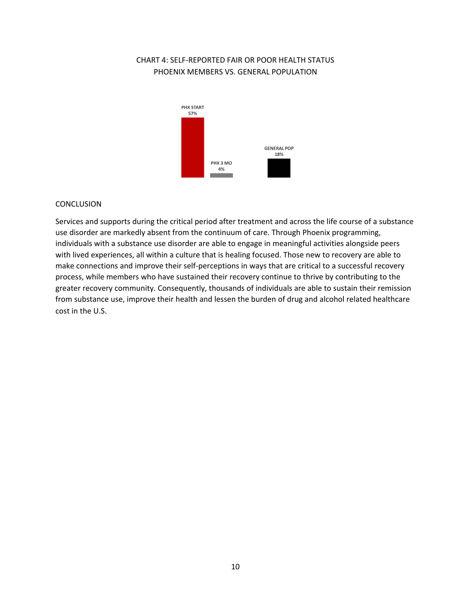# CHART 4: SELF-REPORTED FAIR OR POOR HEALTH STATUS PHOENIX MEMBERS VS. GENERAL POPULATION



## CONCLUSION

Services and supports during the critical period after treatment and across the life course of a substance use disorder are markedly absent from the continuum of care. Through Phoenix programming, individuals with a substance use disorder are able to engage in meaningful activities alongside peers with lived experiences, all within a culture that is healing focused. Those new to recovery are able to make connections and improve their self-perceptions in ways that are critical to a successful recovery process, while members who have sustained their recovery continue to thrive by contributing to the greater recovery community. Consequently, thousands of individuals are able to sustain their remission from substance use, improve their health and lessen the burden of drug and alcohol related healthcare cost in the U.S.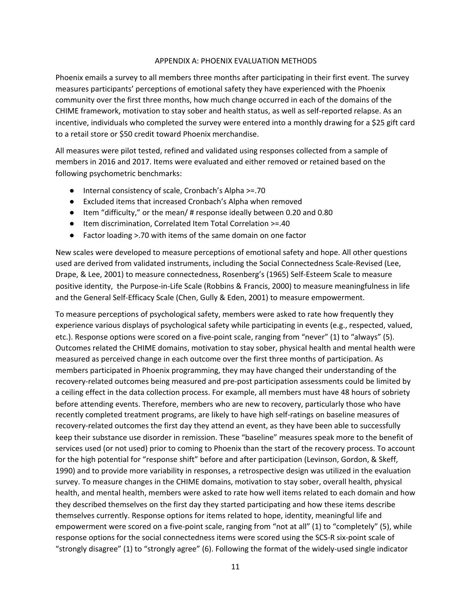### APPENDIX A: PHOENIX EVALUATION METHODS

Phoenix emails a survey to all members three months after participating in their first event. The survey measures participants' perceptions of emotional safety they have experienced with the Phoenix community over the first three months, how much change occurred in each of the domains of the CHIME framework, motivation to stay sober and health status, as well as self-reported relapse. As an incentive, individuals who completed the survey were entered into a monthly drawing for a \$25 gift card to a retail store or \$50 credit toward Phoenix merchandise.

All measures were pilot tested, refined and validated using responses collected from a sample of members in 2016 and 2017. Items were evaluated and either removed or retained based on the following psychometric benchmarks:

- Internal consistency of scale, Cronbach's Alpha >=.70
- Excluded items that increased Cronbach's Alpha when removed
- Item "difficulty," or the mean/ # response ideally between 0.20 and 0.80
- Item discrimination, Correlated Item Total Correlation >=.40
- Factor loading >.70 with items of the same domain on one factor

New scales were developed to measure perceptions of emotional safety and hope. All other questions used are derived from validated instruments, including the Social Connectedness Scale-Revised (Lee, Drape, & Lee, 2001) to measure connectedness, Rosenberg's (1965) Self-Esteem Scale to measure positive identity, the Purpose-in-Life Scale (Robbins & Francis, 2000) to measure meaningfulness in life and the General Self-Efficacy Scale (Chen, Gully & Eden, 2001) to measure empowerment.

To measure perceptions of psychological safety, members were asked to rate how frequently they experience various displays of psychological safety while participating in events (e.g., respected, valued, etc.). Response options were scored on a five-point scale, ranging from "never" (1) to "always" (5). Outcomes related the CHIME domains, motivation to stay sober, physical health and mental health were measured as perceived change in each outcome over the first three months of participation. As members participated in Phoenix programming, they may have changed their understanding of the recovery-related outcomes being measured and pre-post participation assessments could be limited by a ceiling effect in the data collection process. For example, all members must have 48 hours of sobriety before attending events. Therefore, members who are new to recovery, particularly those who have recently completed treatment programs, are likely to have high self-ratings on baseline measures of recovery-related outcomes the first day they attend an event, as they have been able to successfully keep their substance use disorder in remission. These "baseline" measures speak more to the benefit of services used (or not used) prior to coming to Phoenix than the start of the recovery process. To account for the high potential for "response shift" before and after participation (Levinson, Gordon, & Skeff, 1990) and to provide more variability in responses, a retrospective design was utilized in the evaluation survey. To measure changes in the CHIME domains, motivation to stay sober, overall health, physical health, and mental health, members were asked to rate how well items related to each domain and how they described themselves on the first day they started participating and how these items describe themselves currently. Response options for items related to hope, identity, meaningful life and empowerment were scored on a five-point scale, ranging from "not at all" (1) to "completely" (5), while response options for the social connectedness items were scored using the SCS-R six-point scale of "strongly disagree" (1) to "strongly agree" (6). Following the format of the widely-used single indicator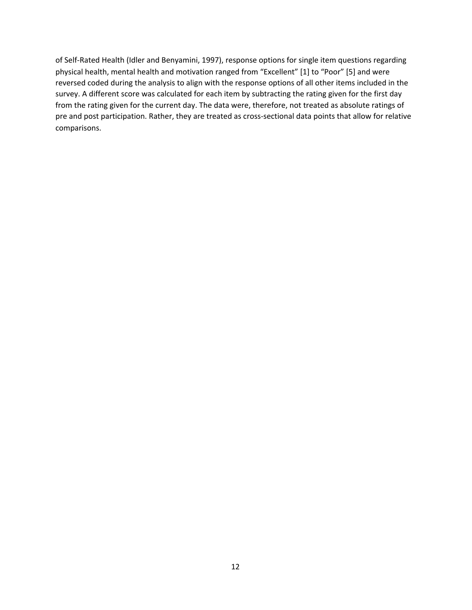of Self-Rated Health (Idler and Benyamini, 1997), response options for single item questions regarding physical health, mental health and motivation ranged from "Excellent" [1] to "Poor" [5] and were reversed coded during the analysis to align with the response options of all other items included in the survey. A different score was calculated for each item by subtracting the rating given for the first day from the rating given for the current day. The data were, therefore, not treated as absolute ratings of pre and post participation. Rather, they are treated as cross-sectional data points that allow for relative comparisons.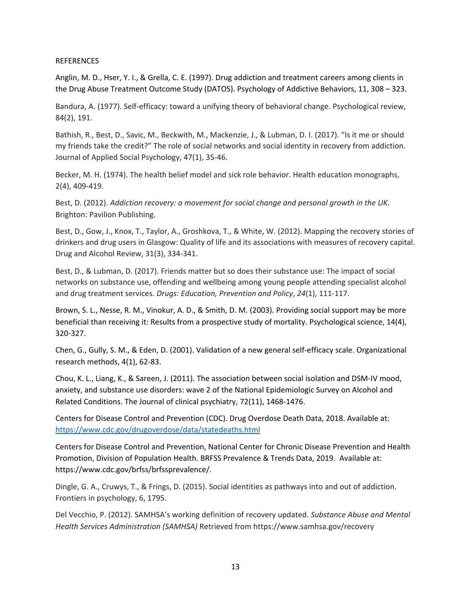### **REFERENCES**

Anglin, M. D., Hser, Y. I., & Grella, C. E. (1997). Drug addiction and treatment careers among clients in the Drug Abuse Treatment Outcome Study (DATOS). Psychology of Addictive Behaviors, 11, 308 – 323.

Bandura, A. (1977). Self-efficacy: toward a unifying theory of behavioral change. Psychological review, 84(2), 191.

Bathish, R., Best, D., Savic, M., Beckwith, M., Mackenzie, J., & Lubman, D. I. (2017). "Is it me or should my friends take the credit?" The role of social networks and social identity in recovery from addiction. Journal of Applied Social Psychology, 47(1), 35-46.

Becker, M. H. (1974). The health belief model and sick role behavior. Health education monographs, 2(4), 409-419.

Best, D. (2012). *Addiction recovery: a movement for social change and personal growth in the UK*. Brighton: Pavilion Publishing.

Best, D., Gow, J., Knox, T., Taylor, A., Groshkova, T., & White, W. (2012). Mapping the recovery stories of drinkers and drug users in Glasgow: Quality of life and its associations with measures of recovery capital. Drug and Alcohol Review, 31(3), 334-341.

Best, D., & Lubman, D. (2017). Friends matter but so does their substance use: The impact of social networks on substance use, offending and wellbeing among young people attending specialist alcohol and drug treatment services. *Drugs: Education, Prevention and Policy*, *24*(1), 111-117.

Brown, S. L., Nesse, R. M., Vinokur, A. D., & Smith, D. M. (2003). Providing social support may be more beneficial than receiving it: Results from a prospective study of mortality. Psychological science, 14(4), 320-327.

Chen, G., Gully, S. M., & Eden, D. (2001). Validation of a new general self-efficacy scale. Organizational research methods, 4(1), 62-83.

Chou, K. L., Liang, K., & Sareen, J. (2011). The association between social isolation and DSM-IV mood, anxiety, and substance use disorders: wave 2 of the National Epidemiologic Survey on Alcohol and Related Conditions. The Journal of clinical psychiatry, 72(11), 1468-1476.

Centers for Disease Control and Prevention (CDC). Drug Overdose Death Data, 2018. Available at: <https://www.cdc.gov/drugoverdose/data/statedeaths.html>

Centers for Disease Control and Prevention, National Center for Chronic Disease Prevention and Health Promotion, Division of Population Health. BRFSS Prevalence & Trends Data, 2019. Available at: https://www.cdc.gov/brfss/brfssprevalence/.

Dingle, G. A., Cruwys, T., & Frings, D. (2015). Social identities as pathways into and out of addiction. Frontiers in psychology, 6, 1795.

Del Vecchio, P. (2012). SAMHSA's working definition of recovery updated. *Substance Abuse and Mental Health Services Administration (SAMHSA)* Retrieved from https://www.samhsa.gov/recovery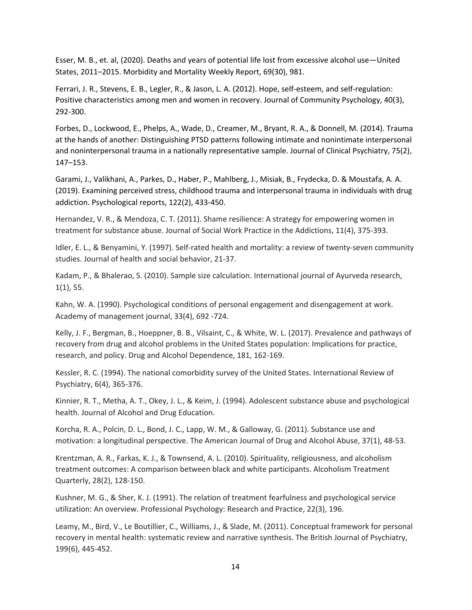Esser, M. B., et. al, (2020). Deaths and years of potential life lost from excessive alcohol use—United States, 2011–2015. Morbidity and Mortality Weekly Report, 69(30), 981.

Ferrari, J. R., Stevens, E. B., Legler, R., & Jason, L. A. (2012). Hope, self-esteem, and self-regulation: Positive characteristics among men and women in recovery. Journal of Community Psychology, 40(3), 292-300.

Forbes, D., Lockwood, E., Phelps, A., Wade, D., Creamer, M., Bryant, R. A., & Donnell, M. (2014). Trauma at the hands of another: Distinguishing PTSD patterns following intimate and nonintimate interpersonal and noninterpersonal trauma in a nationally representative sample. Journal of Clinical Psychiatry, 75(2), 147–153.

Garami, J., Valikhani, A., Parkes, D., Haber, P., Mahlberg, J., Misiak, B., Frydecka, D. & Moustafa, A. A. (2019). Examining perceived stress, childhood trauma and interpersonal trauma in individuals with drug addiction. Psychological reports, 122(2), 433-450.

Hernandez, V. R., & Mendoza, C. T. (2011). Shame resilience: A strategy for empowering women in treatment for substance abuse. Journal of Social Work Practice in the Addictions, 11(4), 375-393.

Idler, E. L., & Benyamini, Y. (1997). Self-rated health and mortality: a review of twenty-seven community studies. Journal of health and social behavior, 21-37.

Kadam, P., & Bhalerao, S. (2010). Sample size calculation. International journal of Ayurveda research, 1(1), 55.

Kahn, W. A. (1990). Psychological conditions of personal engagement and disengagement at work. Academy of management journal, 33(4), 692 -724.

Kelly, J. F., Bergman, B., Hoeppner, B. B., Vilsaint, C., & White, W. L. (2017). Prevalence and pathways of recovery from drug and alcohol problems in the United States population: Implications for practice, research, and policy. Drug and Alcohol Dependence, 181, 162-169.

Kessler, R. C. (1994). The national comorbidity survey of the United States. International Review of Psychiatry, 6(4), 365-376.

Kinnier, R. T., Metha, A. T., Okey, J. L., & Keim, J. (1994). Adolescent substance abuse and psychological health. Journal of Alcohol and Drug Education.

Korcha, R. A., Polcin, D. L., Bond, J. C., Lapp, W. M., & Galloway, G. (2011). Substance use and motivation: a longitudinal perspective. The American Journal of Drug and Alcohol Abuse, 37(1), 48-53.

Krentzman, A. R., Farkas, K. J., & Townsend, A. L. (2010). Spirituality, religiousness, and alcoholism treatment outcomes: A comparison between black and white participants. Alcoholism Treatment Quarterly, 28(2), 128-150.

Kushner, M. G., & Sher, K. J. (1991). The relation of treatment fearfulness and psychological service utilization: An overview. Professional Psychology: Research and Practice, 22(3), 196.

Leamy, M., Bird, V., Le Boutillier, C., Williams, J., & Slade, M. (2011). Conceptual framework for personal recovery in mental health: systematic review and narrative synthesis. The British Journal of Psychiatry, 199(6), 445-452.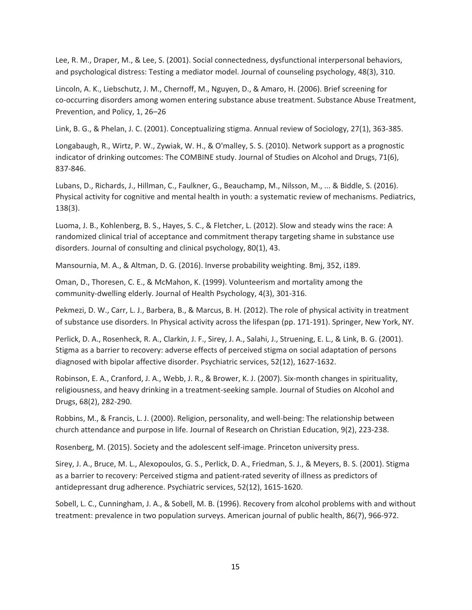Lee, R. M., Draper, M., & Lee, S. (2001). Social connectedness, dysfunctional interpersonal behaviors, and psychological distress: Testing a mediator model. Journal of counseling psychology, 48(3), 310.

Lincoln, A. K., Liebschutz, J. M., Chernoff, M., Nguyen, D., & Amaro, H. (2006). Brief screening for co-occurring disorders among women entering substance abuse treatment. Substance Abuse Treatment, Prevention, and Policy, 1, 26–26

Link, B. G., & Phelan, J. C. (2001). Conceptualizing stigma. Annual review of Sociology, 27(1), 363-385.

Longabaugh, R., Wirtz, P. W., Zywiak, W. H., & O'malley, S. S. (2010). Network support as a prognostic indicator of drinking outcomes: The COMBINE study. Journal of Studies on Alcohol and Drugs, 71(6), 837-846.

Lubans, D., Richards, J., Hillman, C., Faulkner, G., Beauchamp, M., Nilsson, M., ... & Biddle, S. (2016). Physical activity for cognitive and mental health in youth: a systematic review of mechanisms. Pediatrics, 138(3).

Luoma, J. B., Kohlenberg, B. S., Hayes, S. C., & Fletcher, L. (2012). Slow and steady wins the race: A randomized clinical trial of acceptance and commitment therapy targeting shame in substance use disorders. Journal of consulting and clinical psychology, 80(1), 43.

Mansournia, M. A., & Altman, D. G. (2016). Inverse probability weighting. Bmj, 352, i189.

Oman, D., Thoresen, C. E., & McMahon, K. (1999). Volunteerism and mortality among the community-dwelling elderly. Journal of Health Psychology, 4(3), 301-316.

Pekmezi, D. W., Carr, L. J., Barbera, B., & Marcus, B. H. (2012). The role of physical activity in treatment of substance use disorders. In Physical activity across the lifespan (pp. 171-191). Springer, New York, NY.

Perlick, D. A., Rosenheck, R. A., Clarkin, J. F., Sirey, J. A., Salahi, J., Struening, E. L., & Link, B. G. (2001). Stigma as a barrier to recovery: adverse effects of perceived stigma on social adaptation of persons diagnosed with bipolar affective disorder. Psychiatric services, 52(12), 1627-1632.

Robinson, E. A., Cranford, J. A., Webb, J. R., & Brower, K. J. (2007). Six-month changes in spirituality, religiousness, and heavy drinking in a treatment-seeking sample. Journal of Studies on Alcohol and Drugs, 68(2), 282-290.

Robbins, M., & Francis, L. J. (2000). Religion, personality, and well-being: The relationship between church attendance and purpose in life. Journal of Research on Christian Education, 9(2), 223-238.

Rosenberg, M. (2015). Society and the adolescent self-image. Princeton university press.

Sirey, J. A., Bruce, M. L., Alexopoulos, G. S., Perlick, D. A., Friedman, S. J., & Meyers, B. S. (2001). Stigma as a barrier to recovery: Perceived stigma and patient-rated severity of illness as predictors of antidepressant drug adherence. Psychiatric services, 52(12), 1615-1620.

Sobell, L. C., Cunningham, J. A., & Sobell, M. B. (1996). Recovery from alcohol problems with and without treatment: prevalence in two population surveys. American journal of public health, 86(7), 966-972.